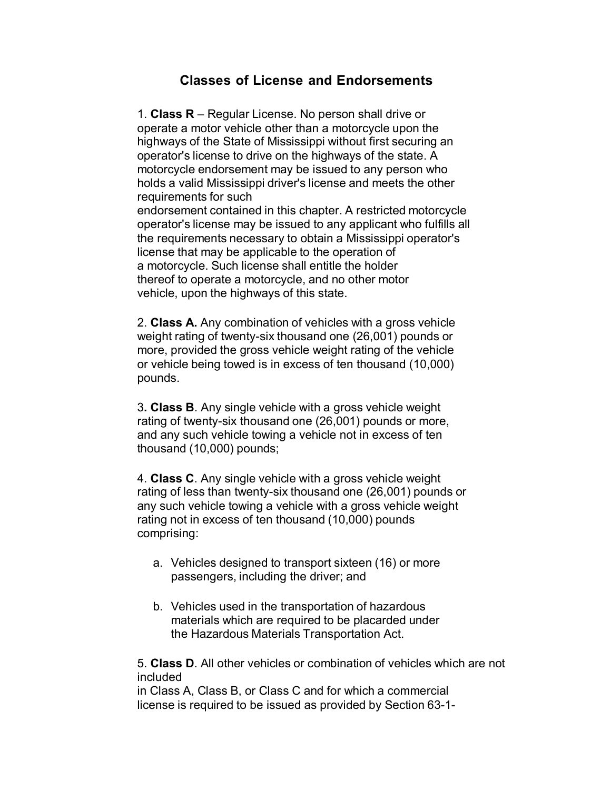## **Classes of License and Endorsements**

1. **Class R** – Regular License. No person shall drive or operate a motor vehicle other than a motorcycle upon the highways of the State of Mississippi without first securing an operator's license to drive on the highways of the state. A motorcycle endorsement may be issued to any person who holds a valid Mississippi driver's license and meets the other requirements for such

endorsement contained in this chapter. A restricted motorcycle operator's license may be issued to any applicant who fulfills all the requirements necessary to obtain a Mississippi operator's license that may be applicable to the operation of a motorcycle. Such license shall entitle the holder thereof to operate a motorcycle, and no other motor vehicle, upon the highways of this state.

2. **Class A.** Any combination of vehicles with a gross vehicle weight rating of twenty-six thousand one (26,001) pounds or more, provided the gross vehicle weight rating of the vehicle or vehicle being towed is in excess of ten thousand (10,000) pounds.

3**. Class B**. Any single vehicle with a gross vehicle weight rating of twenty-six thousand one (26,001) pounds or more, and any such vehicle towing a vehicle not in excess of ten thousand (10,000) pounds;

4. **Class C**. Any single vehicle with a gross vehicle weight rating of less than twenty-six thousand one (26,001) pounds or any such vehicle towing a vehicle with a gross vehicle weight rating not in excess of ten thousand (10,000) pounds comprising:

- a. Vehicles designed to transport sixteen (16) or more passengers, including the driver; and
- b. Vehicles used in the transportation of hazardous materials which are required to be placarded under the Hazardous Materials Transportation Act.

5. **Class D**. All other vehicles or combination of vehicles which are not included

in Class A, Class B, or Class C and for which a commercial license is required to be issued as provided by Section 63-1